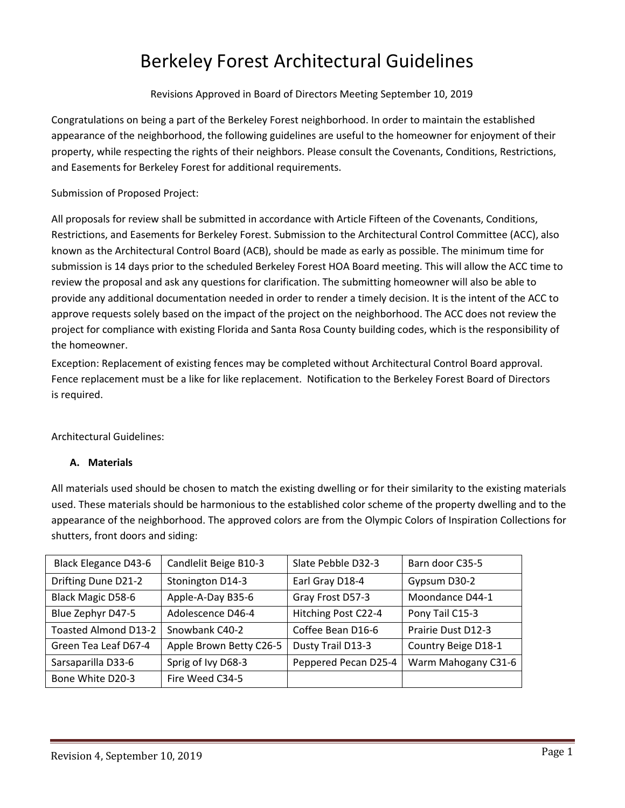# Berkeley Forest Architectural Guidelines

Revisions Approved in Board of Directors Meeting September 10, 2019

Congratulations on being a part of the Berkeley Forest neighborhood. In order to maintain the established appearance of the neighborhood, the following guidelines are useful to the homeowner for enjoyment of their property, while respecting the rights of their neighbors. Please consult the Covenants, Conditions, Restrictions, and Easements for Berkeley Forest for additional requirements.

Submission of Proposed Project:

All proposals for review shall be submitted in accordance with Article Fifteen of the Covenants, Conditions, Restrictions, and Easements for Berkeley Forest. Submission to the Architectural Control Committee (ACC), also known as the Architectural Control Board (ACB), should be made as early as possible. The minimum time for submission is 14 days prior to the scheduled Berkeley Forest HOA Board meeting. This will allow the ACC time to review the proposal and ask any questions for clarification. The submitting homeowner will also be able to provide any additional documentation needed in order to render a timely decision. It is the intent of the ACC to approve requests solely based on the impact of the project on the neighborhood. The ACC does not review the project for compliance with existing Florida and Santa Rosa County building codes, which is the responsibility of the homeowner.

Exception: Replacement of existing fences may be completed without Architectural Control Board approval. Fence replacement must be a like for like replacement. Notification to the Berkeley Forest Board of Directors is required.

Architectural Guidelines:

# **A. Materials**

All materials used should be chosen to match the existing dwelling or for their similarity to the existing materials used. These materials should be harmonious to the established color scheme of the property dwelling and to the appearance of the neighborhood. The approved colors are from the Olympic Colors of Inspiration Collections for shutters, front doors and siding:

| <b>Black Elegance D43-6</b> | Candlelit Beige B10-3   | Slate Pebble D32-3   | Barn door C35-5     |
|-----------------------------|-------------------------|----------------------|---------------------|
| Drifting Dune D21-2         | Stonington D14-3        | Earl Gray D18-4      | Gypsum D30-2        |
| <b>Black Magic D58-6</b>    | Apple-A-Day B35-6       | Gray Frost D57-3     | Moondance D44-1     |
| Blue Zephyr D47-5           | Adolescence D46-4       | Hitching Post C22-4  | Pony Tail C15-3     |
| <b>Toasted Almond D13-2</b> | Snowbank C40-2          | Coffee Bean D16-6    | Prairie Dust D12-3  |
| Green Tea Leaf D67-4        | Apple Brown Betty C26-5 | Dusty Trail D13-3    | Country Beige D18-1 |
| Sarsaparilla D33-6          | Sprig of Ivy D68-3      | Peppered Pecan D25-4 | Warm Mahogany C31-6 |
| Bone White D20-3            | Fire Weed C34-5         |                      |                     |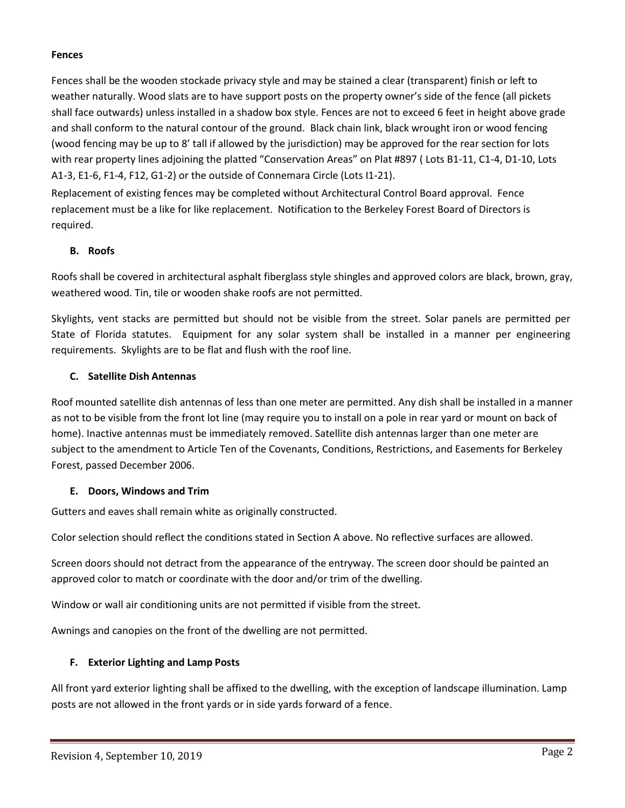## **Fences**

Fences shall be the wooden stockade privacy style and may be stained a clear (transparent) finish or left to weather naturally. Wood slats are to have support posts on the property owner's side of the fence (all pickets shall face outwards) unless installed in a shadow box style. Fences are not to exceed 6 feet in height above grade and shall conform to the natural contour of the ground. Black chain link, black wrought iron or wood fencing (wood fencing may be up to 8' tall if allowed by the jurisdiction) may be approved for the rear section for lots with rear property lines adjoining the platted "Conservation Areas" on Plat #897 ( Lots B1-11, C1-4, D1-10, Lots A1-3, E1-6, F1-4, F12, G1-2) or the outside of Connemara Circle (Lots I1-21).

Replacement of existing fences may be completed without Architectural Control Board approval. Fence replacement must be a like for like replacement. Notification to the Berkeley Forest Board of Directors is required.

## **B. Roofs**

Roofs shall be covered in architectural asphalt fiberglass style shingles and approved colors are black, brown, gray, weathered wood. Tin, tile or wooden shake roofs are not permitted.

Skylights, vent stacks are permitted but should not be visible from the street. Solar panels are permitted per State of Florida statutes. Equipment for any solar system shall be installed in a manner per engineering requirements. Skylights are to be flat and flush with the roof line.

## **C. Satellite Dish Antennas**

Roof mounted satellite dish antennas of less than one meter are permitted. Any dish shall be installed in a manner as not to be visible from the front lot line (may require you to install on a pole in rear yard or mount on back of home). Inactive antennas must be immediately removed. Satellite dish antennas larger than one meter are subject to the amendment to Article Ten of the Covenants, Conditions, Restrictions, and Easements for Berkeley Forest, passed December 2006.

#### **E. Doors, Windows and Trim**

Gutters and eaves shall remain white as originally constructed.

Color selection should reflect the conditions stated in Section A above. No reflective surfaces are allowed.

Screen doors should not detract from the appearance of the entryway. The screen door should be painted an approved color to match or coordinate with the door and/or trim of the dwelling.

Window or wall air conditioning units are not permitted if visible from the street.

Awnings and canopies on the front of the dwelling are not permitted.

# **F. Exterior Lighting and Lamp Posts**

All front yard exterior lighting shall be affixed to the dwelling, with the exception of landscape illumination. Lamp posts are not allowed in the front yards or in side yards forward of a fence.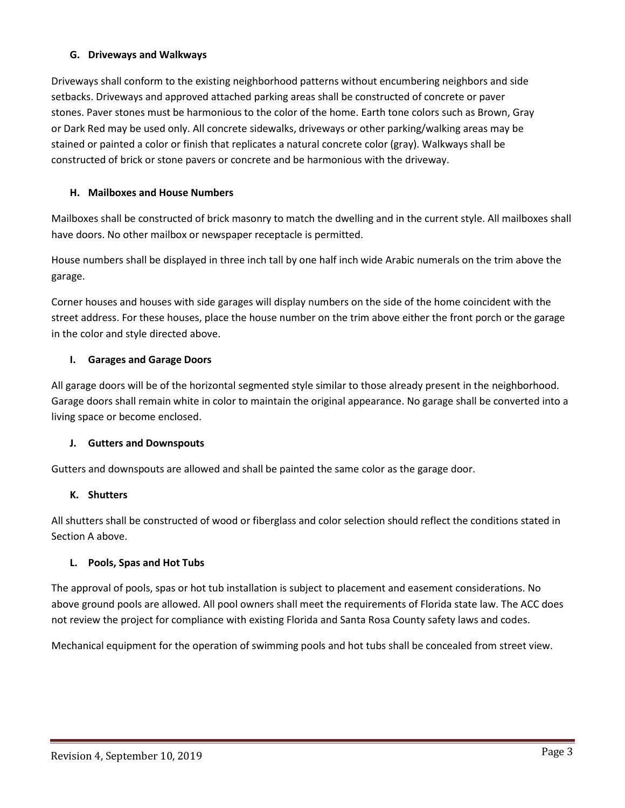## **G. Driveways and Walkways**

Driveways shall conform to the existing neighborhood patterns without encumbering neighbors and side setbacks. Driveways and approved attached parking areas shall be constructed of concrete or paver stones. Paver stones must be harmonious to the color of the home. Earth tone colors such as Brown, Gray or Dark Red may be used only. All concrete sidewalks, driveways or other parking/walking areas may be stained or painted a color or finish that replicates a natural concrete color (gray). Walkways shall be constructed of brick or stone pavers or concrete and be harmonious with the driveway.

## **H. Mailboxes and House Numbers**

Mailboxes shall be constructed of brick masonry to match the dwelling and in the current style. All mailboxes shall have doors. No other mailbox or newspaper receptacle is permitted.

House numbers shall be displayed in three inch tall by one half inch wide Arabic numerals on the trim above the garage.

Corner houses and houses with side garages will display numbers on the side of the home coincident with the street address. For these houses, place the house number on the trim above either the front porch or the garage in the color and style directed above.

## **I. Garages and Garage Doors**

All garage doors will be of the horizontal segmented style similar to those already present in the neighborhood. Garage doors shall remain white in color to maintain the original appearance. No garage shall be converted into a living space or become enclosed.

#### **J. Gutters and Downspouts**

Gutters and downspouts are allowed and shall be painted the same color as the garage door.

#### **K. Shutters**

All shutters shall be constructed of wood or fiberglass and color selection should reflect the conditions stated in Section A above.

# **L. Pools, Spas and Hot Tubs**

The approval of pools, spas or hot tub installation is subject to placement and easement considerations. No above ground pools are allowed. All pool owners shall meet the requirements of Florida state law. The ACC does not review the project for compliance with existing Florida and Santa Rosa County safety laws and codes.

Mechanical equipment for the operation of swimming pools and hot tubs shall be concealed from street view.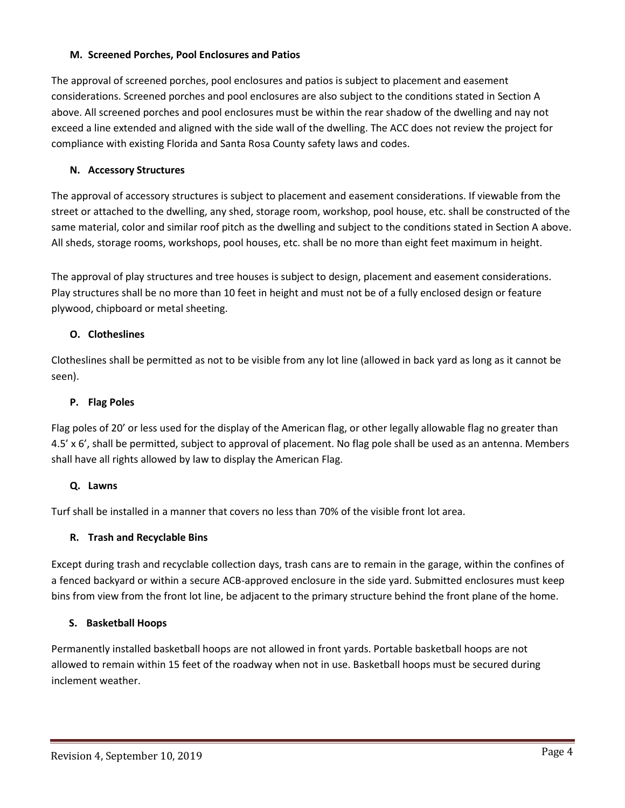## **M. Screened Porches, Pool Enclosures and Patios**

The approval of screened porches, pool enclosures and patios is subject to placement and easement considerations. Screened porches and pool enclosures are also subject to the conditions stated in Section A above. All screened porches and pool enclosures must be within the rear shadow of the dwelling and nay not exceed a line extended and aligned with the side wall of the dwelling. The ACC does not review the project for compliance with existing Florida and Santa Rosa County safety laws and codes.

# **N. Accessory Structures**

The approval of accessory structures is subject to placement and easement considerations. If viewable from the street or attached to the dwelling, any shed, storage room, workshop, pool house, etc. shall be constructed of the same material, color and similar roof pitch as the dwelling and subject to the conditions stated in Section A above. All sheds, storage rooms, workshops, pool houses, etc. shall be no more than eight feet maximum in height.

The approval of play structures and tree houses is subject to design, placement and easement considerations. Play structures shall be no more than 10 feet in height and must not be of a fully enclosed design or feature plywood, chipboard or metal sheeting.

# **O. Clotheslines**

Clotheslines shall be permitted as not to be visible from any lot line (allowed in back yard as long as it cannot be seen).

## **P. Flag Poles**

Flag poles of 20' or less used for the display of the American flag, or other legally allowable flag no greater than 4.5' x 6', shall be permitted, subject to approval of placement. No flag pole shall be used as an antenna. Members shall have all rights allowed by law to display the American Flag.

# **Q. Lawns**

Turf shall be installed in a manner that covers no less than 70% of the visible front lot area.

# **R. Trash and Recyclable Bins**

Except during trash and recyclable collection days, trash cans are to remain in the garage, within the confines of a fenced backyard or within a secure ACB-approved enclosure in the side yard. Submitted enclosures must keep bins from view from the front lot line, be adjacent to the primary structure behind the front plane of the home.

# **S. Basketball Hoops**

Permanently installed basketball hoops are not allowed in front yards. Portable basketball hoops are not allowed to remain within 15 feet of the roadway when not in use. Basketball hoops must be secured during inclement weather.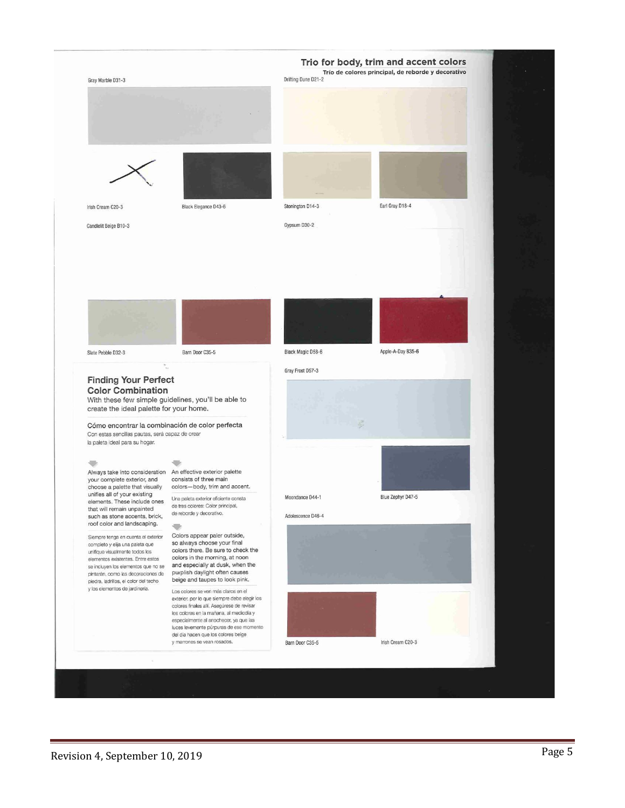